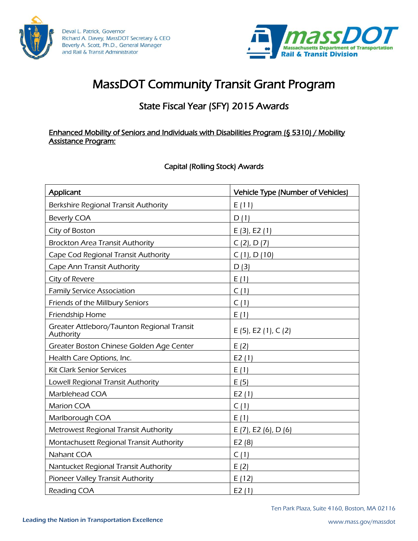

Deval L. Patrick, Governor Richard A. Davey, MassDOT Secretary & CEO Beverly A. Scott, Ph.D., General Manager and Rail & Transit Administrator



# MassDOT Community Transit Grant Program

### State Fiscal Year (SFY) 2015 Awards

#### Enhanced Mobility of Seniors and Individuals with Disabilities Program (§ 5310) / Mobility Assistance Program:

Capital (Rolling Stock) Awards

| Applicant                                               | <b>Vehicle Type (Number of Vehicles)</b> |
|---------------------------------------------------------|------------------------------------------|
| Berkshire Regional Transit Authority                    | E(11)                                    |
| <b>Beverly COA</b>                                      | D(1)                                     |
| City of Boston                                          | E(3), E2(1)                              |
| <b>Brockton Area Transit Authority</b>                  | C(2), D(7)                               |
| Cape Cod Regional Transit Authority                     | C(1), D(10)                              |
| Cape Ann Transit Authority                              | D(3)                                     |
| City of Revere                                          | E(1)                                     |
| <b>Family Service Association</b>                       | C(1)                                     |
| Friends of the Millbury Seniors                         | C(1)                                     |
| Friendship Home                                         | E(1)                                     |
| Greater Attleboro/Taunton Regional Transit<br>Authority | E (5), E2 (1), C (2)                     |
| Greater Boston Chinese Golden Age Center                | E(2)                                     |
| Health Care Options, Inc.                               | E2(1)                                    |
| <b>Kit Clark Senior Services</b>                        | E(1)                                     |
| Lowell Regional Transit Authority                       | E(5)                                     |
| Marblehead COA                                          | E2(1)                                    |
| <b>Marion COA</b>                                       | C(1)                                     |
| Marlborough COA                                         | E(1)                                     |
| <b>Metrowest Regional Transit Authority</b>             | E (7), E2 (6), D (6)                     |
| Montachusett Regional Transit Authority                 | E2(8)                                    |
| Nahant COA                                              | C(1)                                     |
| Nantucket Regional Transit Authority                    | E(2)                                     |
| Pioneer Valley Transit Authority                        | E(12)                                    |
| Reading COA                                             | E2(1)                                    |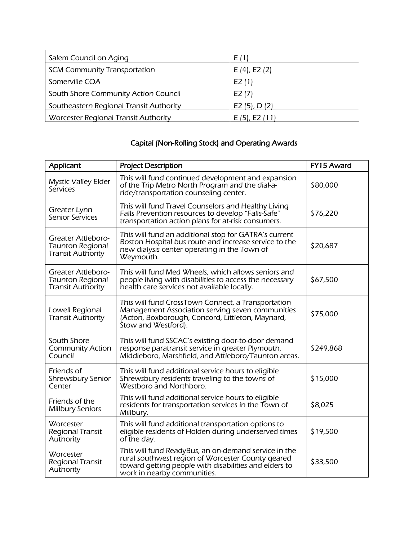| Salem Council on Aging                  | E (1)              |
|-----------------------------------------|--------------------|
| <b>SCM Community Transportation</b>     | $E(4)$ , E2 $(2)$  |
| Somerville COA                          | E2 (1)             |
| South Shore Community Action Council    | E <sub>2</sub> (7) |
| Southeastern Regional Transit Authority | E2 (5), $D(2)$     |
| Worcester Regional Transit Authority    | $E(5)$ , E2 $(11)$ |

## Capital (Non-Rolling Stock) and Operating Awards

| Applicant                                                                        | <b>Project Description</b>                                                                                                                                                                        | FY15 Award |
|----------------------------------------------------------------------------------|---------------------------------------------------------------------------------------------------------------------------------------------------------------------------------------------------|------------|
| <b>Mystic Valley Elder</b><br>Services                                           | This will fund continued development and expansion<br>of the Trip Metro North Program and the dial-a-<br>ride/transportation counseling center.                                                   | \$80,000   |
| Greater Lynn<br>Senior Services                                                  | This will fund Travel Counselors and Healthy Living<br>Falls Prevention resources to develop "Falls-Safe"<br>transportation action plans for at-risk consumers.                                   | \$76,220   |
| Greater Attleboro-<br><b>Taunton Regional</b><br><b>Transit Authority</b>        | This will fund an additional stop for GATRA's current<br>Boston Hospital bus route and increase service to the<br>new dialysis center operating in the Town of<br>Weymouth.                       | \$20,687   |
| <b>Greater Attleboro-</b><br><b>Taunton Regional</b><br><b>Transit Authority</b> | This will fund Med Wheels, which allows seniors and<br>people living with disabilities to access the necessary<br>health care services not available locally.                                     | \$67,500   |
| Lowell Regional<br><b>Transit Authority</b>                                      | This will fund CrossTown Connect, a Transportation<br>Management Association serving seven communities<br>(Acton, Boxborough, Concord, Littleton, Maynard,<br>Stow and Westford).                 | \$75,000   |
| South Shore<br><b>Community Action</b><br>Council                                | This will fund SSCAC's existing door-to-door demand<br>response paratransit service in greater Plymouth,<br>Middleboro, Marshfield, and Attleboro/Taunton areas.                                  | \$249,868  |
| Friends of<br>Shrewsbury Senior<br>Center                                        | This will fund additional service hours to eligible<br>Shrewsbury residents traveling to the towns of<br>Westboro and Northboro.                                                                  | \$15,000   |
| Friends of the<br><b>Millbury Seniors</b>                                        | This will fund additional service hours to eligible<br>residents for transportation services in the Town of<br>Millbury.                                                                          | \$8,025    |
| Worcester<br>Regional Transit<br>Authority                                       | This will fund additional transportation options to<br>eligible residents of Holden during underserved times<br>of the day.                                                                       | \$19,500   |
| Worcester<br>Regional Transit<br>Authority                                       | This will fund ReadyBus, an on-demand service in the<br>rural southwest region of Worcester County geared<br>toward getting people with disabilities and elders to<br>work in nearby communities. | \$33,500   |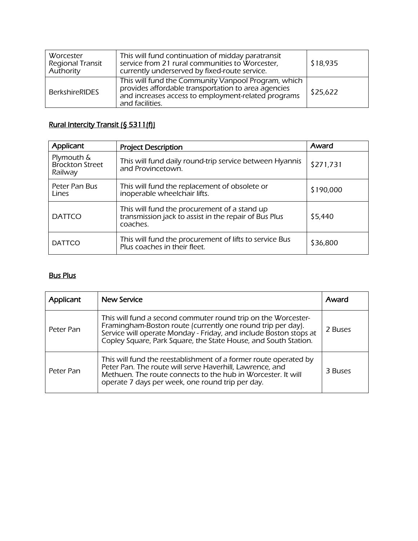| Worcester<br>Regional Transit<br>Authority | This will fund continuation of midday paratransit<br>service from 21 rural communities to Worcester,<br>currently underserved by fixed-route service.                                | \$18,935 |
|--------------------------------------------|--------------------------------------------------------------------------------------------------------------------------------------------------------------------------------------|----------|
| <b>BerkshireRIDES</b>                      | This will fund the Community Vanpool Program, which<br>provides affordable transportation to area agencies<br>and increases access to employment-related programs<br>and facilities. | \$25,622 |

### Rural Intercity Transit (§ 5311(f))

| Applicant                                | <b>Project Description</b>                                                                                        | Award     |
|------------------------------------------|-------------------------------------------------------------------------------------------------------------------|-----------|
| Plymouth &<br>Brockton Street<br>Railway | This will fund daily round-trip service between Hyannis<br>and Provincetown.                                      | \$271,731 |
| Peter Pan Bus<br>Lines                   | This will fund the replacement of obsolete or<br>inoperable wheelchair lifts.                                     | \$190,000 |
| <b>DATTCO</b>                            | This will fund the procurement of a stand up<br>transmission jack to assist in the repair of Bus Plus<br>coaches. | \$5,440   |
| <b>DATTCO</b>                            | This will fund the procurement of lifts to service Bus<br>Plus coaches in their fleet.                            | \$36,800  |

#### Bus Plus

| Applicant | New Service                                                                                                                                                                                                                                                          | Award   |
|-----------|----------------------------------------------------------------------------------------------------------------------------------------------------------------------------------------------------------------------------------------------------------------------|---------|
| Peter Pan | This will fund a second commuter round trip on the Worcester-<br>Framingham-Boston route (currently one round trip per day).<br>Service will operate Monday - Friday, and include Boston stops at<br>Copley Square, Park Square, the State House, and South Station. | 2 Buses |
| Peter Pan | This will fund the reestablishment of a former route operated by<br>Peter Pan. The route will serve Haverhill, Lawrence, and<br>Methuen. The route connects to the hub in Worcester. It will<br>operate 7 days per week, one round trip per day.                     | 3 Buses |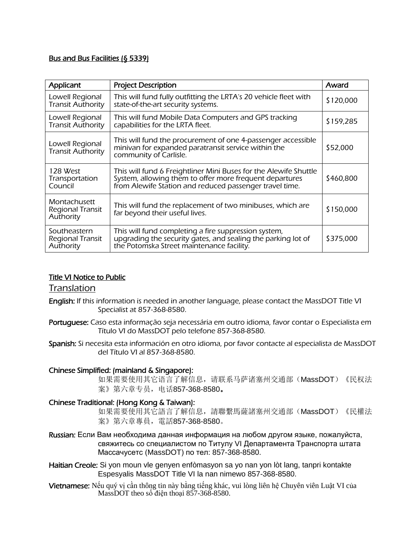#### Bus and Bus Facilities (§ 5339)

| Applicant                                     | <b>Project Description</b>                                                                                                                                                             | Award     |
|-----------------------------------------------|----------------------------------------------------------------------------------------------------------------------------------------------------------------------------------------|-----------|
| Lowell Regional<br><b>Transit Authority</b>   | This will fund fully outfitting the LRTA's 20 vehicle fleet with<br>state-of-the-art security systems.                                                                                 | \$120,000 |
| Lowell Regional<br><b>Transit Authority</b>   | This will fund Mobile Data Computers and GPS tracking<br>capabilities for the LRTA fleet.                                                                                              | \$159,285 |
| Lowell Regional<br><b>Transit Authority</b>   | This will fund the procurement of one 4-passenger accessible<br>minivan for expanded paratransit service within the<br>community of Carlisle.                                          | \$52,000  |
| 128 West<br>Transportation<br>Council         | This will fund 6 Freightliner Mini Buses for the Alewife Shuttle<br>System, allowing them to offer more frequent departures<br>from Alewife Station and reduced passenger travel time. | \$460,800 |
| Montachusett<br>Regional Transit<br>Authority | This will fund the replacement of two minibuses, which are<br>far beyond their useful lives.                                                                                           | \$150,000 |
| Southeastern<br>Regional Transit<br>Authority | This will fund completing a fire suppression system,<br>upgrading the security gates, and sealing the parking lot of<br>the Potomska Street maintenance facility.                      | \$375,000 |

#### Title VI Notice to Public

#### Translation

- English: If this information is needed in another language, please contact the MassDOT Title VI Specialist at 857-368-8580.
- Portuguese: Caso esta informação seja necessária em outro idioma, favor contar o Especialista em Título VI do MassDOT pelo telefone 857-368-8580.
- Spanish: Si necesita esta información en otro idioma, por favor contacte al especialista de MassDOT del Título VI al 857-368-8580.

#### Chinese Simplified: (mainland & Singapore):

如果需要使用其它语言了解信息,请联系马萨诸塞州交通部(MassDOT)《民权法 案》第六章专员,电话857-368-8580。

#### Chinese Traditional: (Hong Kong & Taiwan):

如果需要使用其它語言了解信息,請聯繫馬薩諸塞州交通部(MassDOT)《民權法 案》第六章專員,電話857-368-8580。

- Russian: Если Вам необходима данная информация на любом другом языке, пожалуйста, свяжитесь со cпециалистом по Титулу VI Департамента Транспорта штата Массачусетс (MassDOT) по тел: 857-368-8580.
- Haitian Creole: Si yon moun vle genyen enfòmasyon sa yo nan yon lòt lang, tanpri kontakte Espesyalis MassDOT Title VI la nan nimewo 857-368-8580.
- Vietnamese: Nếu quý vị cần thông tin này bằng tiếng khác, vui lòng liên hệ Chuyên viên Luật VI của MassDOT theo số điện thoại 857-368-8580.